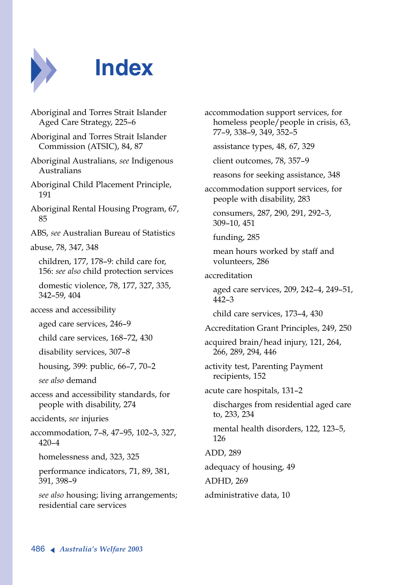

## **Index**

| Aboriginal and Torres Strait Islander<br>Aged Care Strategy, 225-6               |
|----------------------------------------------------------------------------------|
| Aboriginal and Torres Strait Islander<br>Commission (ATSIC), 84, 87              |
| Aboriginal Australians, see Indigenous<br>Australians                            |
| Aboriginal Child Placement Principle,<br>191                                     |
| Aboriginal Rental Housing Program, 67,<br>85                                     |
| ABS, see Australian Bureau of Statistics                                         |
| abuse, 78, 347, 348                                                              |
| children, 177, 178-9: child care for,<br>156: see also child protection services |
| domestic violence, 78, 177, 327, 335,<br>342-59, 404                             |
| access and accessibility                                                         |
| aged care services, 246-9                                                        |
| child care services, 168-72, 430                                                 |
| disability services, 307-8                                                       |
| housing, 399: public, 66-7, 70-2                                                 |
| see also demand                                                                  |
| access and accessibility standards, for<br>people with disability, 274           |
| accidents, see injuries                                                          |
| accommodation, 7-8, 47-95, 102-3, 327,<br>$420 - 4$                              |
| homelessness and, 323, 325                                                       |
| performance indicators, 71, 89, 381,<br>391, 398-9                               |
| see also housing; living arrangements;<br>residential care services              |

accommodation support services, for homeless people/people in crisis, 63, 77–9, 338–9, 349, 352–5

assistance types, 48, 67, 329

client outcomes, 78, 357–9

reasons for seeking assistance, 348

accommodation support services, for people with disability, 283

consumers, 287, 290, 291, 292–3, 309–10, 451

funding, 285

mean hours worked by staff and volunteers, 286

accreditation

aged care services, 209, 242–4, 249–51, 442–3

child care services, 173–4, 430

Accreditation Grant Principles, 249, 250

acquired brain/head injury, 121, 264, 266, 289, 294, 446

activity test, Parenting Payment recipients, 152

acute care hospitals, 131–2

discharges from residential aged care to, 233, 234

mental health disorders, 122, 123–5, 126

ADD, 289

adequacy of housing, 49

ADHD, 269

administrative data, 10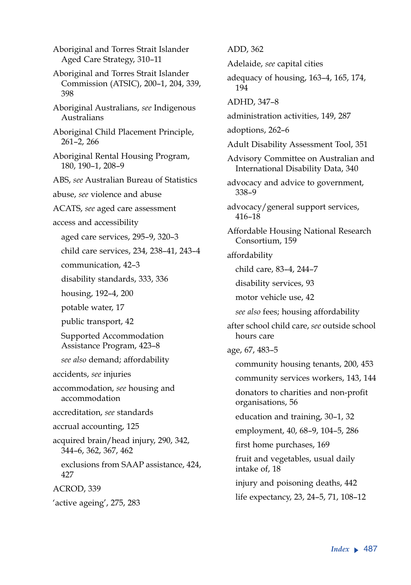Aboriginal and Torres Strait Islander Aged Care Strategy, 310–11 Aboriginal and Torres Strait Islander Commission (ATSIC), 200–1, 204, 339, 398 Aboriginal Australians, *see* Indigenous Australians Aboriginal Child Placement Principle, 261–2, 266 Aboriginal Rental Housing Program, 180, 190–1, 208–9 ABS, *see* Australian Bureau of Statistics abuse, *see* violence and abuse ACATS, *see* aged care assessment access and accessibility aged care services, 295–9, 320–3 child care services, 234, 238–41, 243–4 communication, 42–3 disability standards, 333, 336 housing, 192–4, 200 potable water, 17 public transport, 42 Supported Accommodation Assistance Program, 423–8 *see also* demand; affordability accidents, *see* injuries accommodation, *see* housing and accommodation accreditation, *see* standards accrual accounting, 125 acquired brain/head injury, 290, 342, 344–6, 362, 367, 462 exclusions from SAAP assistance, 424, 427 ACROD, 339 'active ageing', 275, 283

ADD, 362 Adelaide, *see* capital cities adequacy of housing, 163–4, 165, 174, 194 ADHD, 347–8 administration activities, 149, 287 adoptions, 262–6 Adult Disability Assessment Tool, 351 Advisory Committee on Australian and International Disability Data, 340 advocacy and advice to government, 338–9 advocacy/general support services, 416–18 Affordable Housing National Research Consortium, 159 affordability child care, 83–4, 244–7 disability services, 93 motor vehicle use, 42 *see also* fees; housing affordability after school child care, *see* outside school hours care age, 67, 483–5 community housing tenants, 200, 453 community services workers, 143, 144 donators to charities and non-profit organisations, 56 education and training, 30–1, 32 employment, 40, 68–9, 104–5, 286 first home purchases, 169 fruit and vegetables, usual daily intake of, 18 injury and poisoning deaths, 442 life expectancy, 23, 24–5, 71, 108–12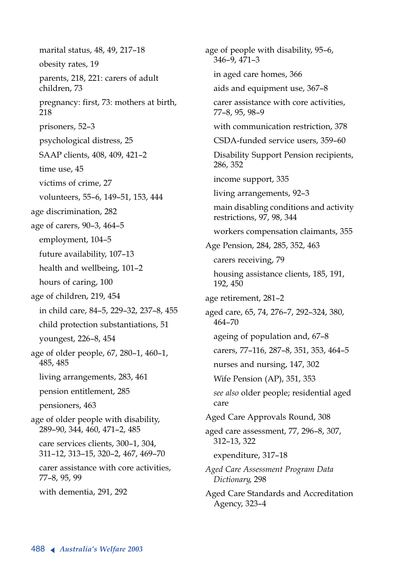marital status, 48, 49, 217–18 obesity rates, 19 parents, 218, 221: carers of adult children, 73 pregnancy: first, 73: mothers at birth, 218 prisoners, 52–3 psychological distress, 25 SAAP clients, 408, 409, 421–2 time use, 45 victims of crime, 27 volunteers, 55–6, 149–51, 153, 444 age discrimination, 282 age of carers, 90–3, 464–5 employment, 104–5 future availability, 107–13 health and wellbeing, 101–2 hours of caring, 100 age of children, 219, 454 in child care, 84–5, 229–32, 237–8, 455 child protection substantiations, 51 youngest, 226–8, 454 age of older people, 67, 280–1, 460–1, 485, 485 living arrangements, 283, 461 pension entitlement, 285 pensioners, 463 age of older people with disability, 289–90, 344, 460, 471–2, 485 care services clients, 300–1, 304, 311–12, 313–15, 320–2, 467, 469–70 carer assistance with core activities, 77–8, 95, 99 with dementia, 291, 292

age of people with disability, 95–6, 346–9, 471–3 in aged care homes, 366 aids and equipment use, 367–8 carer assistance with core activities, 77–8, 95, 98–9 with communication restriction, 378 CSDA-funded service users, 359–60 Disability Support Pension recipients, 286, 352 income support, 335 living arrangements, 92–3 main disabling conditions and activity restrictions, 97, 98, 344 workers compensation claimants, 355 Age Pension, 284, 285, 352, 463 carers receiving, 79 housing assistance clients, 185, 191, 192, 450 age retirement, 281–2 aged care, 65, 74, 276–7, 292–324, 380, 464–70 ageing of population and, 67–8 carers, 77–116, 287–8, 351, 353, 464–5 nurses and nursing, 147, 302 Wife Pension (AP), 351, 353 *see also* older people; residential aged care Aged Care Approvals Round, 308 aged care assessment, 77, 296–8, 307, 312–13, 322 expenditure, 317–18 *Aged Care Assessment Program Data Dictionary*, 298 Aged Care Standards and Accreditation Agency, 323–4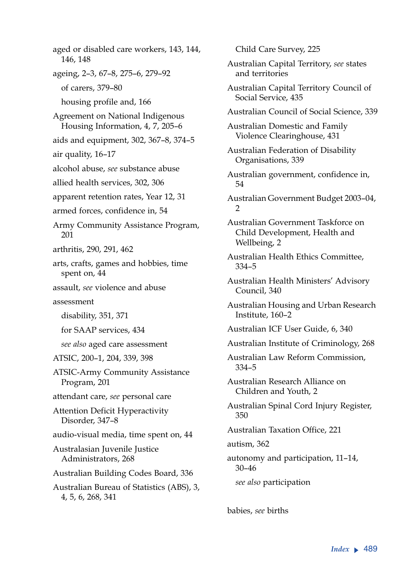aged or disabled care workers, 143, 144, 146, 148 ageing, 2–3, 67–8, 275–6, 279–92 of carers, 379–80 housing profile and, 166 Agreement on National Indigenous Housing Information, 4, 7, 205–6 aids and equipment, 302, 367–8, 374–5 air quality, 16–17 alcohol abuse, *see* substance abuse allied health services, 302, 306 apparent retention rates, Year 12, 31 armed forces, confidence in, 54 Army Community Assistance Program, 201 arthritis, 290, 291, 462 arts, crafts, games and hobbies, time spent on, 44 assault, *see* violence and abuse assessment disability, 351, 371 for SAAP services, 434 *see also* aged care assessment ATSIC, 200–1, 204, 339, 398 ATSIC-Army Community Assistance Program, 201 attendant care, *see* personal care Attention Deficit Hyperactivity Disorder, 347–8 audio-visual media, time spent on, 44 Australasian Juvenile Justice Administrators, 268 Australian Building Codes Board, 336 Australian Bureau of Statistics (ABS), 3, 4, 5, 6, 268, 341

Child Care Survey, 225 Australian Capital Territory, *see* states and territories Australian Capital Territory Council of Social Service, 435 Australian Council of Social Science, 339 Australian Domestic and Family Violence Clearinghouse, 431 Australian Federation of Disability Organisations, 339 Australian government, confidence in, 54 Australian Government Budget 2003–04,  $\mathcal{D}$ Australian Government Taskforce on Child Development, Health and Wellbeing, 2 Australian Health Ethics Committee, 334–5 Australian Health Ministers' Advisory Council, 340 Australian Housing and Urban Research Institute, 160–2 Australian ICF User Guide, 6, 340 Australian Institute of Criminology, 268 Australian Law Reform Commission, 334–5 Australian Research Alliance on Children and Youth, 2 Australian Spinal Cord Injury Register, 350 Australian Taxation Office, 221 autism, 362 autonomy and participation, 11–14, 30–46 *see also* participation

babies, *see* births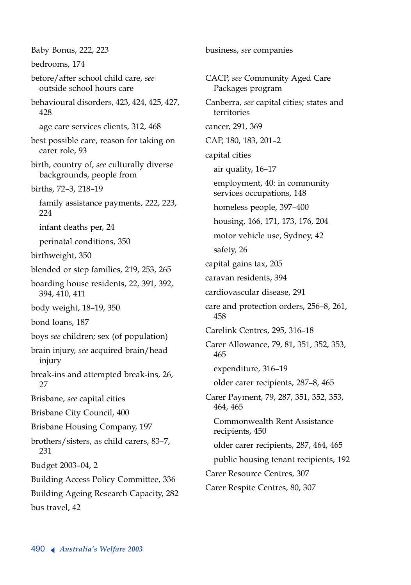Baby Bonus, 222, 223 bedrooms, 174 before/after school child care, *see* outside school hours care behavioural disorders, 423, 424, 425, 427, 428 age care services clients, 312, 468 best possible care, reason for taking on carer role, 93 birth, country of, *see* culturally diverse backgrounds, people from births, 72–3, 218–19 family assistance payments, 222, 223, 224 infant deaths per, 24 perinatal conditions, 350 birthweight, 350 blended or step families, 219, 253, 265 boarding house residents, 22, 391, 392, 394, 410, 411 body weight, 18–19, 350 bond loans, 187 boys *see* children; sex (of population) brain injury, *see* acquired brain/head injury break-ins and attempted break-ins, 26, 27 Brisbane, *see* capital cities Brisbane City Council, 400 Brisbane Housing Company, 197 brothers/sisters, as child carers, 83–7, 231 Budget 2003–04, 2 Building Access Policy Committee, 336 Building Ageing Research Capacity, 282 bus travel, 42

CACP, *see* Community Aged Care Packages program Canberra, *see* capital cities; states and territories cancer, 291, 369 CAP, 180, 183, 201–2 capital cities air quality, 16–17 employment, 40: in community services occupations, 148 homeless people, 397–400 housing, 166, 171, 173, 176, 204 motor vehicle use, Sydney, 42 safety, 26 capital gains tax, 205 caravan residents, 394 cardiovascular disease, 291 care and protection orders, 256–8, 261, 458 Carelink Centres, 295, 316–18 Carer Allowance, 79, 81, 351, 352, 353, 465 expenditure, 316–19 older carer recipients, 287–8, 465 Carer Payment, 79, 287, 351, 352, 353, 464, 465 Commonwealth Rent Assistance recipients, 450 older carer recipients, 287, 464, 465 public housing tenant recipients, 192 Carer Resource Centres, 307 Carer Respite Centres, 80, 307

business, *see* companies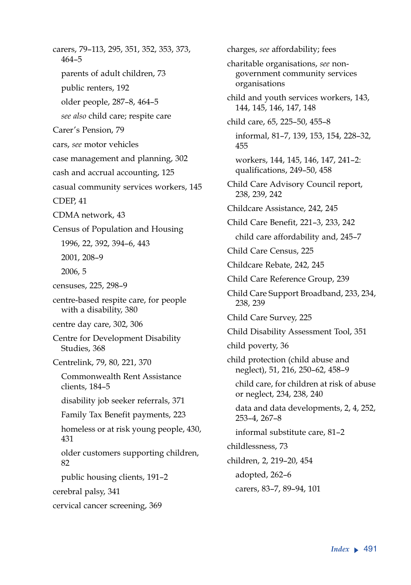carers, 79–113, 295, 351, 352, 353, 373, 464–5 parents of adult children, 73 public renters, 192 older people, 287–8, 464–5 *see also* child care; respite care Carer's Pension, 79 cars, *see* motor vehicles case management and planning, 302 cash and accrual accounting, 125 casual community services workers, 145 CDEP, 41 CDMA network, 43 Census of Population and Housing 1996, 22, 392, 394–6, 443 2001, 208–9 2006, 5 censuses, 225, 298–9 centre-based respite care, for people with a disability, 380 centre day care, 302, 306 Centre for Development Disability Studies, 368 Centrelink, 79, 80, 221, 370 Commonwealth Rent Assistance clients, 184–5 disability job seeker referrals, 371 Family Tax Benefit payments, 223 homeless or at risk young people, 430, 431 older customers supporting children, 82 public housing clients, 191–2 cerebral palsy, 341 cervical cancer screening, 369

charges, *see* affordability; fees charitable organisations, *see* nongovernment community services organisations child and youth services workers, 143, 144, 145, 146, 147, 148 child care, 65, 225–50, 455–8 informal, 81–7, 139, 153, 154, 228–32, 455 workers, 144, 145, 146, 147, 241–2: qualifications, 249–50, 458 Child Care Advisory Council report, 238, 239, 242 Childcare Assistance, 242, 245 Child Care Benefit, 221–3, 233, 242 child care affordability and, 245–7 Child Care Census, 225 Childcare Rebate, 242, 245 Child Care Reference Group, 239 Child Care Support Broadband, 233, 234, 238, 239 Child Care Survey, 225 Child Disability Assessment Tool, 351 child poverty, 36 child protection (child abuse and neglect), 51, 216, 250–62, 458–9 child care, for children at risk of abuse or neglect, 234, 238, 240 data and data developments, 2, 4, 252, 253–4, 267–8 informal substitute care, 81–2 childlessness, 73 children, 2, 219–20, 454 adopted, 262–6 carers, 83–7, 89–94, 101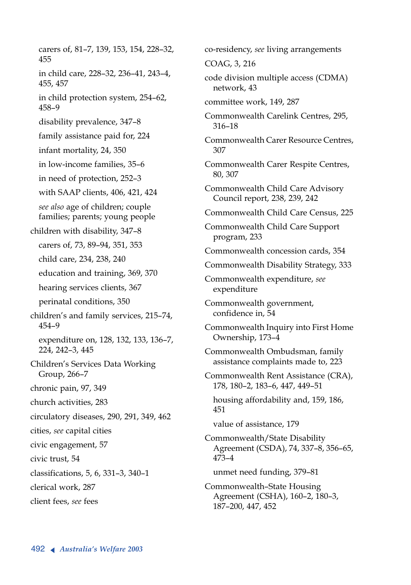carers of, 81–7, 139, 153, 154, 228–32, 455 in child care, 228–32, 236–41, 243–4, 455, 457 in child protection system, 254–62, 458–9 disability prevalence, 347–8 family assistance paid for, 224 infant mortality, 24, 350 in low-income families, 35–6 in need of protection, 252–3 with SAAP clients, 406, 421, 424 *see also* age of children; couple families; parents; young people children with disability, 347–8 carers of, 73, 89–94, 351, 353 child care, 234, 238, 240 education and training, 369, 370 hearing services clients, 367 perinatal conditions, 350 children's and family services, 215–74, 454–9 expenditure on, 128, 132, 133, 136–7, 224, 242–3, 445 Children's Services Data Working Group, 266–7 chronic pain, 97, 349 church activities, 283 circulatory diseases, 290, 291, 349, 462 cities, *see* capital cities civic engagement, 57 civic trust, 54 classifications, 5, 6, 331–3, 340–1 clerical work, 287 client fees, *see* fees

co-residency, *see* living arrangements COAG, 3, 216 code division multiple access (CDMA) network, 43 committee work, 149, 287 Commonwealth Carelink Centres, 295, 316–18 Commonwealth Carer Resource Centres, 307 Commonwealth Carer Respite Centres, 80, 307 Commonwealth Child Care Advisory Council report, 238, 239, 242 Commonwealth Child Care Census, 225 Commonwealth Child Care Support program, 233 Commonwealth concession cards, 354 Commonwealth Disability Strategy, 333 Commonwealth expenditure, *see* expenditure Commonwealth government, confidence in, 54 Commonwealth Inquiry into First Home Ownership, 173–4 Commonwealth Ombudsman, family assistance complaints made to, 223 Commonwealth Rent Assistance (CRA), 178, 180–2, 183–6, 447, 449–51 housing affordability and, 159, 186, 451 value of assistance, 179 Commonwealth/State Disability Agreement (CSDA), 74, 337–8, 356–65, 473–4 unmet need funding, 379–81 Commonwealth–State Housing Agreement (CSHA), 160–2, 180–3, 187–200, 447, 452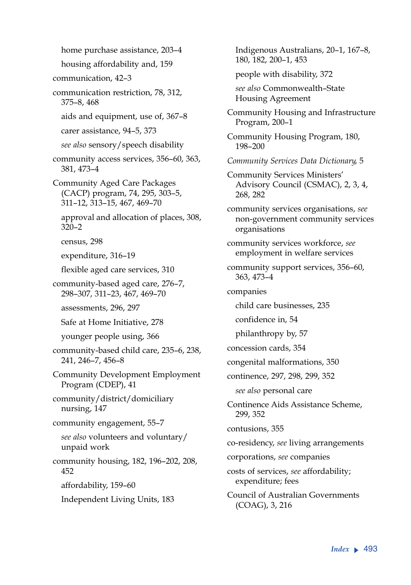home purchase assistance, 203–4

housing affordability and, 159

communication, 42–3

communication restriction, 78, 312, 375–8, 468

aids and equipment, use of, 367–8

carer assistance, 94–5, 373

*see also* sensory/speech disability

community access services, 356–60, 363, 381, 473–4

Community Aged Care Packages (CACP) program, 74, 295, 303–5, 311–12, 313–15, 467, 469–70

approval and allocation of places, 308, 320–2

census, 298

expenditure, 316–19

flexible aged care services, 310

community-based aged care, 276–7, 298–307, 311–23, 467, 469–70

assessments, 296, 297

Safe at Home Initiative, 278

younger people using, 366

community-based child care, 235–6, 238, 241, 246–7, 456–8

Community Development Employment Program (CDEP), 41

community/district/domiciliary nursing, 147

community engagement, 55–7

*see also* volunteers and voluntary/ unpaid work

community housing, 182, 196–202, 208, 452

affordability, 159–60

Independent Living Units, 183

Indigenous Australians, 20–1, 167–8, 180, 182, 200–1, 453 people with disability, 372 *see also* Commonwealth–State Housing Agreement Community Housing and Infrastructure Program, 200–1 Community Housing Program, 180, 198–200 *Community Services Data Dictionary*, 5 Community Services Ministers' Advisory Council (CSMAC), 2, 3, 4, 268, 282 community services organisations, *see* non-government community services organisations community services workforce, *see* employment in welfare services community support services, 356–60, 363, 473–4 companies child care businesses, 235 confidence in, 54 philanthropy by, 57 concession cards, 354 congenital malformations, 350 continence, 297, 298, 299, 352 *see also* personal care Continence Aids Assistance Scheme, 299, 352 contusions, 355 co-residency, *see* living arrangements corporations, *see* companies

costs of services, *see* affordability; expenditure; fees

Council of Australian Governments (COAG), 3, 216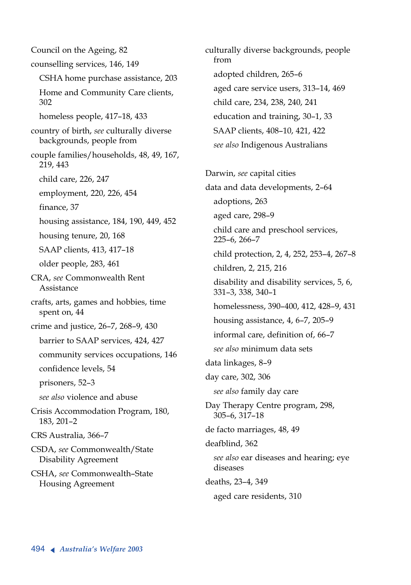Council on the Ageing, 82 counselling services, 146, 149 CSHA home purchase assistance, 203 Home and Community Care clients, 302 homeless people, 417–18, 433 country of birth, *see* culturally diverse backgrounds, people from couple families/households, 48, 49, 167, 219, 443 child care, 226, 247 employment, 220, 226, 454 finance, 37 housing assistance, 184, 190, 449, 452 housing tenure, 20, 168 SAAP clients, 413, 417–18 older people, 283, 461 CRA, *see* Commonwealth Rent Assistance crafts, arts, games and hobbies, time spent on, 44 crime and justice, 26–7, 268–9, 430 barrier to SAAP services, 424, 427 community services occupations, 146 confidence levels, 54 prisoners, 52–3 *see also* violence and abuse Crisis Accommodation Program, 180, 183, 201–2 CRS Australia, 366–7 CSDA, *see* Commonwealth/State Disability Agreement CSHA, *see* Commonwealth–State Housing Agreement

culturally diverse backgrounds, people from adopted children, 265–6 aged care service users, 313–14, 469 child care, 234, 238, 240, 241 education and training, 30–1, 33 SAAP clients, 408–10, 421, 422 *see also* Indigenous Australians Darwin, *see* capital cities data and data developments, 2–64 adoptions, 263 aged care, 298–9 child care and preschool services, 225–6, 266–7 child protection, 2, 4, 252, 253–4, 267–8 children, 2, 215, 216 disability and disability services, 5, 6, 331–3, 338, 340–1 homelessness, 390–400, 412, 428–9, 431 housing assistance, 4, 6-7, 205-9 informal care, definition of, 66–7 *see also* minimum data sets data linkages, 8–9 day care, 302, 306 *see also* family day care Day Therapy Centre program, 298, 305–6, 317–18 de facto marriages, 48, 49 deafblind, 362 *see also* ear diseases and hearing; eye diseases deaths, 23–4, 349 aged care residents, 310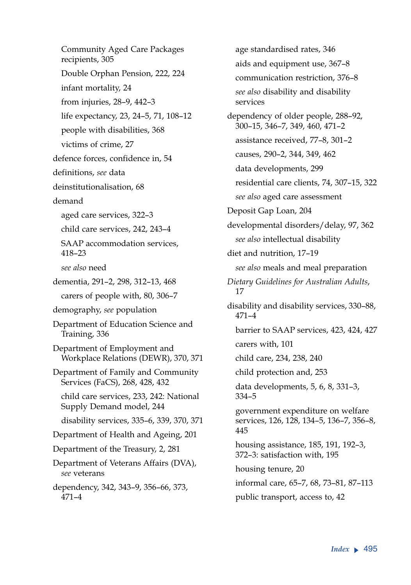Community Aged Care Packages recipients, 305 Double Orphan Pension, 222, 224 infant mortality, 24 from injuries, 28–9, 442–3 life expectancy, 23, 24–5, 71, 108–12 people with disabilities, 368 victims of crime, 27 defence forces, confidence in, 54 definitions, *see* data deinstitutionalisation, 68 demand aged care services, 322–3 child care services, 242, 243–4 SAAP accommodation services, 418–23 *see also* need dementia, 291–2, 298, 312–13, 468 carers of people with, 80, 306–7 demography, *see* population Department of Education Science and Training, 336 Department of Employment and Workplace Relations (DEWR), 370, 371 Department of Family and Community Services (FaCS), 268, 428, 432 child care services, 233, 242: National Supply Demand model, 244 disability services, 335–6, 339, 370, 371 Department of Health and Ageing, 201 Department of the Treasury, 2, 281 Department of Veterans Affairs (DVA), *see* veterans dependency, 342, 343–9, 356–66, 373, 471–4

age standardised rates, 346 aids and equipment use, 367–8 communication restriction, 376–8 *see also* disability and disability services dependency of older people, 288–92, 300–15, 346–7, 349, 460, 471–2 assistance received, 77–8, 301–2 causes, 290–2, 344, 349, 462 data developments, 299 residential care clients, 74, 307–15, 322 *see also* aged care assessment Deposit Gap Loan, 204 developmental disorders/delay, 97, 362 *see also* intellectual disability diet and nutrition, 17–19 *see also* meals and meal preparation *Dietary Guidelines for Australian Adults*, 17 disability and disability services, 330–88, 471–4 barrier to SAAP services, 423, 424, 427 carers with, 101 child care, 234, 238, 240 child protection and, 253 data developments, 5, 6, 8, 331–3, 334–5 government expenditure on welfare services, 126, 128, 134–5, 136–7, 356–8, 445 housing assistance, 185, 191, 192–3, 372–3: satisfaction with, 195 housing tenure, 20 informal care, 65–7, 68, 73–81, 87–113 public transport, access to, 42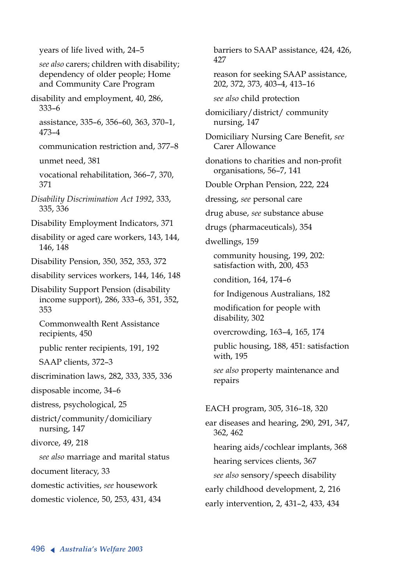years of life lived with, 24–5 *see also* carers; children with disability; dependency of older people; Home and Community Care Program disability and employment, 40, 286, 333–6 assistance, 335–6, 356–60, 363, 370–1, 473–4 communication restriction and, 377–8 unmet need, 381 vocational rehabilitation, 366–7, 370, 371 *Disability Discrimination Act 1992*, 333, 335, 336 Disability Employment Indicators, 371 disability or aged care workers, 143, 144, 146, 148 Disability Pension, 350, 352, 353, 372 disability services workers, 144, 146, 148 Disability Support Pension (disability income support), 286, 333–6, 351, 352, 353 Commonwealth Rent Assistance recipients, 450 public renter recipients, 191, 192 SAAP clients, 372–3 discrimination laws, 282, 333, 335, 336 disposable income, 34–6 distress, psychological, 25 district/community/domiciliary nursing, 147 divorce, 49, 218 *see also* marriage and marital status document literacy, 33 domestic activities, *see* housework domestic violence, 50, 253, 431, 434

barriers to SAAP assistance, 424, 426, 427

reason for seeking SAAP assistance, 202, 372, 373, 403–4, 413–16

*see also* child protection

domiciliary/district/ community nursing, 147

Domiciliary Nursing Care Benefit, *see* Carer Allowance

donations to charities and non-profit organisations, 56–7, 141

Double Orphan Pension, 222, 224

dressing, *see* personal care

drug abuse, *see* substance abuse

drugs (pharmaceuticals), 354

dwellings, 159

community housing, 199, 202: satisfaction with, 200, 453

condition, 164, 174–6

for Indigenous Australians, 182

modification for people with disability, 302

overcrowding, 163–4, 165, 174

public housing, 188, 451: satisfaction with, 195

*see also* property maintenance and repairs

EACH program, 305, 316–18, 320 ear diseases and hearing, 290, 291, 347, 362, 462 hearing aids/cochlear implants, 368 hearing services clients, 367 *see also* sensory/speech disability early childhood development, 2, 216 early intervention, 2, 431–2, 433, 434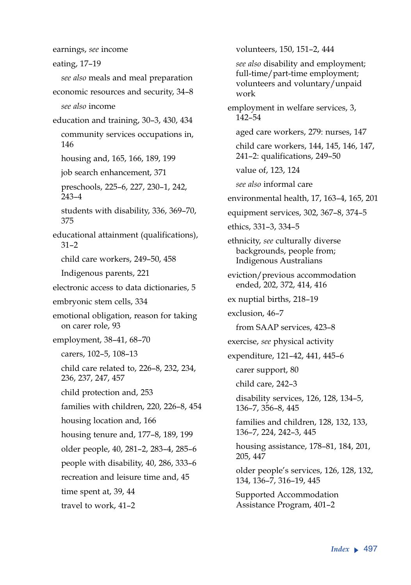eating, 17–19 *see also* meals and meal preparation economic resources and security, 34–8 *see also* income education and training, 30–3, 430, 434 community services occupations in, 146 housing and, 165, 166, 189, 199 job search enhancement, 371 preschools, 225–6, 227, 230–1, 242, 243–4 students with disability, 336, 369–70, 375 educational attainment (qualifications), 31–2 child care workers, 249–50, 458 Indigenous parents, 221 electronic access to data dictionaries, 5 embryonic stem cells, 334 emotional obligation, reason for taking on carer role, 93 employment, 38–41, 68–70 carers, 102–5, 108–13 child care related to, 226–8, 232, 234, 236, 237, 247, 457 child protection and, 253 families with children, 220, 226–8, 454 housing location and, 166 housing tenure and, 177–8, 189, 199 older people, 40, 281–2, 283–4, 285–6 people with disability, 40, 286, 333–6 recreation and leisure time and, 45 time spent at, 39, 44 travel to work, 41–2

earnings, *see* income

volunteers, 150, 151–2, 444 *see also* disability and employment; full-time/part-time employment; volunteers and voluntary/unpaid work employment in welfare services, 3, 142–54 aged care workers, 279: nurses, 147 child care workers, 144, 145, 146, 147, 241–2: qualifications, 249–50 value of, 123, 124 *see also* informal care environmental health, 17, 163–4, 165, 201 equipment services, 302, 367–8, 374–5 ethics, 331–3, 334–5 ethnicity, *see* culturally diverse backgrounds, people from; Indigenous Australians eviction/previous accommodation ended, 202, 372, 414, 416 ex nuptial births, 218–19 exclusion, 46–7 from SAAP services, 423–8 exercise, *see* physical activity expenditure, 121–42, 441, 445–6 carer support, 80 child care, 242–3 disability services, 126, 128, 134–5, 136–7, 356–8, 445 families and children, 128, 132, 133, 136–7, 224, 242–3, 445 housing assistance, 178–81, 184, 201, 205, 447 older people's services, 126, 128, 132, 134, 136–7, 316–19, 445 Supported Accommodation Assistance Program, 401–2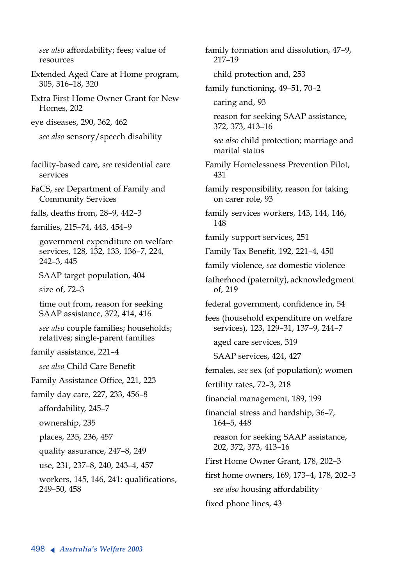*see also* affordability; fees; value of resources

Extended Aged Care at Home program, 305, 316–18, 320

Extra First Home Owner Grant for New Homes, 202

eye diseases, 290, 362, 462

*see also* sensory/speech disability

facility-based care, *see* residential care services

FaCS, *see* Department of Family and Community Services

falls, deaths from, 28–9, 442–3

families, 215–74, 443, 454–9

government expenditure on welfare services, 128, 132, 133, 136–7, 224, 242–3, 445

SAAP target population, 404

size of, 72–3

time out from, reason for seeking SAAP assistance, 372, 414, 416

*see also* couple families; households; relatives; single-parent families

family assistance, 221–4

*see also* Child Care Benefit

Family Assistance Office, 221, 223

family day care, 227, 233, 456–8

affordability, 245–7

ownership, 235

places, 235, 236, 457

quality assurance, 247–8, 249

use, 231, 237–8, 240, 243–4, 457

workers, 145, 146, 241: qualifications, 249–50, 458

family formation and dissolution, 47–9, 217–19

child protection and, 253

family functioning, 49–51, 70–2

caring and, 93

reason for seeking SAAP assistance, 372, 373, 413–16

*see also* child protection; marriage and marital status

Family Homelessness Prevention Pilot, 431

family responsibility, reason for taking on carer role, 93

family services workers, 143, 144, 146, 148

family support services, 251

Family Tax Benefit, 192, 221–4, 450

family violence, *see* domestic violence

fatherhood (paternity), acknowledgment of, 219

federal government, confidence in, 54

fees (household expenditure on welfare services), 123, 129–31, 137–9, 244–7

aged care services, 319

SAAP services, 424, 427

females, *see* sex (of population); women

fertility rates, 72–3, 218

financial management, 189, 199

financial stress and hardship, 36–7, 164–5, 448

reason for seeking SAAP assistance, 202, 372, 373, 413–16

First Home Owner Grant, 178, 202–3

first home owners, 169, 173–4, 178, 202–3

*see also* housing affordability

fixed phone lines, 43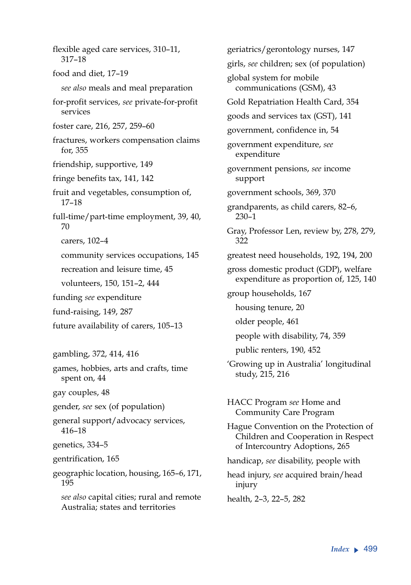flexible aged care services, 310–11, 317–18 food and diet, 17–19 *see also* meals and meal preparation for-profit services, *see* private-for-profit services foster care, 216, 257, 259–60 fractures, workers compensation claims for, 355 friendship, supportive, 149 fringe benefits tax, 141, 142 fruit and vegetables, consumption of, 17–18 full-time/part-time employment, 39, 40, 70 carers, 102–4 community services occupations, 145 recreation and leisure time, 45 volunteers, 150, 151–2, 444 funding *see* expenditure fund-raising, 149, 287 future availability of carers, 105–13 gambling, 372, 414, 416 games, hobbies, arts and crafts, time spent on, 44 gay couples, 48 gender, *see* sex (of population) general support/advocacy services, 416–18 genetics, 334–5 gentrification, 165 geographic location, housing, 165–6, 171, 195 *see also* capital cities; rural and remote Australia; states and territories

geriatrics/gerontology nurses, 147 girls, *see* children; sex (of population) global system for mobile communications (GSM), 43 Gold Repatriation Health Card, 354 goods and services tax (GST), 141 government, confidence in, 54 government expenditure, *see* expenditure government pensions, *see* income support government schools, 369, 370 grandparents, as child carers, 82–6, 230–1 Gray, Professor Len, review by, 278, 279, 322 greatest need households, 192, 194, 200 gross domestic product (GDP), welfare expenditure as proportion of, 125, 140 group households, 167 housing tenure, 20 older people, 461 people with disability, 74, 359 public renters, 190, 452 'Growing up in Australia' longitudinal study, 215, 216 HACC Program *see* Home and Community Care Program Hague Convention on the Protection of Children and Cooperation in Respect of Intercountry Adoptions, 265 handicap, *see* disability, people with head injury, *see* acquired brain/head injury health, 2–3, 22–5, 282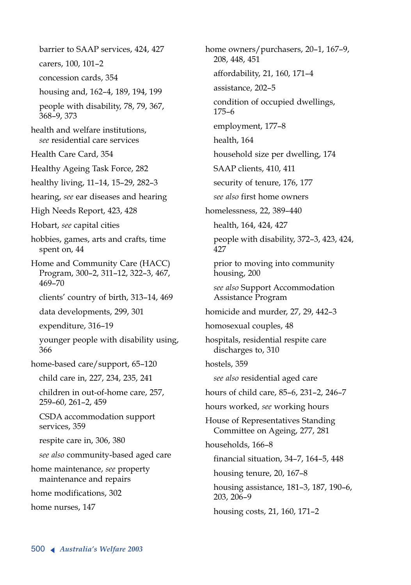barrier to SAAP services, 424, 427 carers, 100, 101–2 concession cards, 354 housing and, 162–4, 189, 194, 199 people with disability, 78, 79, 367, 368–9, 373 health and welfare institutions, *see* residential care services Health Care Card, 354 Healthy Ageing Task Force, 282 healthy living, 11–14, 15–29, 282–3 hearing, *see* ear diseases and hearing High Needs Report, 423, 428 Hobart, *see* capital cities hobbies, games, arts and crafts, time spent on, 44 Home and Community Care (HACC) Program, 300–2, 311–12, 322–3, 467, 469–70 clients' country of birth, 313–14, 469 data developments, 299, 301 expenditure, 316–19 younger people with disability using, 366 home-based care/support, 65–120 child care in, 227, 234, 235, 241 children in out-of-home care, 257, 259–60, 261–2, 459 CSDA accommodation support services, 359 respite care in, 306, 380 *see also* community-based aged care home maintenance, *see* property maintenance and repairs home modifications, 302 home nurses, 147

home owners/purchasers, 20–1, 167–9, 208, 448, 451 affordability, 21, 160, 171–4 assistance, 202–5 condition of occupied dwellings, 175–6 employment, 177–8 health, 164 household size per dwelling, 174 SAAP clients, 410, 411 security of tenure, 176, 177 *see also* first home owners homelessness, 22, 389–440 health, 164, 424, 427 people with disability, 372–3, 423, 424, 427 prior to moving into community housing, 200 *see also* Support Accommodation Assistance Program homicide and murder, 27, 29, 442–3 homosexual couples, 48 hospitals, residential respite care discharges to, 310 hostels, 359 *see also* residential aged care hours of child care, 85–6, 231–2, 246–7 hours worked, *see* working hours House of Representatives Standing Committee on Ageing, 277, 281 households, 166–8 financial situation, 34–7, 164–5, 448 housing tenure, 20, 167–8 housing assistance, 181–3, 187, 190–6, 203, 206–9 housing costs, 21, 160, 171–2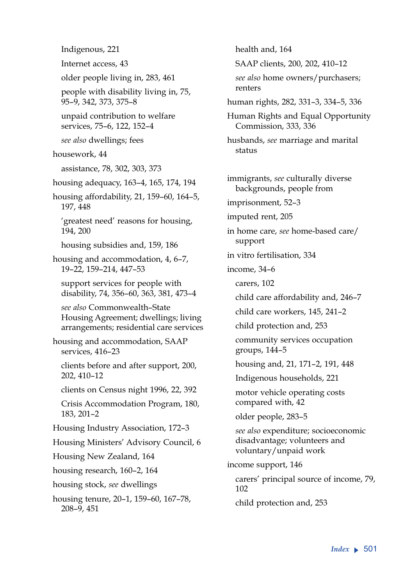Indigenous, 221 Internet access, 43 older people living in, 283, 461 people with disability living in, 75, 95–9, 342, 373, 375–8 unpaid contribution to welfare services, 75–6, 122, 152–4 *see also* dwellings; fees housework, 44 assistance, 78, 302, 303, 373 housing adequacy, 163–4, 165, 174, 194 housing affordability, 21, 159–60, 164–5, 197, 448 'greatest need' reasons for housing, 194, 200 housing subsidies and, 159, 186 housing and accommodation, 4, 6–7, 19–22, 159–214, 447–53 support services for people with disability, 74, 356–60, 363, 381, 473–4 *see also* Commonwealth–State Housing Agreement; dwellings; living arrangements; residential care services housing and accommodation, SAAP services, 416–23 clients before and after support, 200, 202, 410–12 clients on Census night 1996, 22, 392 Crisis Accommodation Program, 180, 183, 201–2 Housing Industry Association, 172–3 Housing Ministers' Advisory Council, 6 Housing New Zealand, 164 housing research, 160–2, 164 housing stock, *see* dwellings housing tenure, 20–1, 159–60, 167–78, 208–9, 451

health and, 164 SAAP clients, 200, 202, 410–12 *see also* home owners/purchasers; renters human rights, 282, 331–3, 334–5, 336 Human Rights and Equal Opportunity Commission, 333, 336 husbands, *see* marriage and marital status immigrants, *see* culturally diverse backgrounds, people from imprisonment, 52–3 imputed rent, 205 in home care, *see* home-based care/ support in vitro fertilisation, 334 income, 34–6 carers, 102 child care affordability and, 246–7 child care workers, 145, 241–2 child protection and, 253 community services occupation groups, 144–5 housing and, 21, 171–2, 191, 448 Indigenous households, 221 motor vehicle operating costs compared with, 42 older people, 283–5 *see also* expenditure; socioeconomic disadvantage; volunteers and voluntary/unpaid work income support, 146 carers' principal source of income, 79, 102 child protection and, 253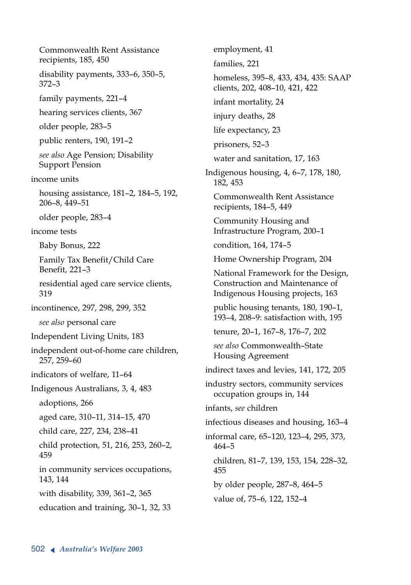Commonwealth Rent Assistance recipients, 185, 450 disability payments, 333–6, 350–5, 372–3 family payments, 221–4 hearing services clients, 367 older people, 283–5 public renters, 190, 191–2 *see also* Age Pension; Disability Support Pension income units housing assistance, 181–2, 184–5, 192, 206–8, 449–51 older people, 283–4 income tests Baby Bonus, 222 Family Tax Benefit/Child Care Benefit, 221–3 residential aged care service clients, 319 incontinence, 297, 298, 299, 352 *see also* personal care Independent Living Units, 183 independent out-of-home care children, 257, 259–60 indicators of welfare, 11–64 Indigenous Australians, 3, 4, 483 adoptions, 266 aged care, 310–11, 314–15, 470 child care, 227, 234, 238–41 child protection, 51, 216, 253, 260–2, 459 in community services occupations, 143, 144 with disability, 339, 361–2, 365 education and training, 30–1, 32, 33

employment, 41 families, 221 homeless, 395–8, 433, 434, 435: SAAP clients, 202, 408–10, 421, 422 infant mortality, 24 injury deaths, 28 life expectancy, 23 prisoners, 52–3 water and sanitation, 17, 163 Indigenous housing, 4, 6–7, 178, 180, 182, 453 Commonwealth Rent Assistance recipients, 184–5, 449 Community Housing and Infrastructure Program, 200–1 condition, 164, 174–5 Home Ownership Program, 204 National Framework for the Design, Construction and Maintenance of Indigenous Housing projects, 163 public housing tenants, 180, 190–1, 193–4, 208–9: satisfaction with, 195 tenure, 20–1, 167–8, 176–7, 202 *see also* Commonwealth–State Housing Agreement indirect taxes and levies, 141, 172, 205 industry sectors, community services occupation groups in, 144 infants, *see* children infectious diseases and housing, 163–4 informal care, 65–120, 123–4, 295, 373, 464–5 children, 81–7, 139, 153, 154, 228–32, 455 by older people, 287–8, 464–5 value of, 75–6, 122, 152–4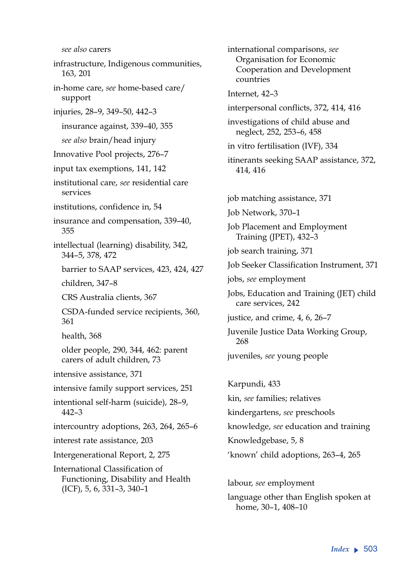*see also* carers infrastructure, Indigenous communities, 163, 201 in-home care, *see* home-based care/ support injuries, 28–9, 349–50, 442–3 insurance against, 339–40, 355 *see also* brain/head injury Innovative Pool projects, 276–7 input tax exemptions, 141, 142 institutional care, *see* residential care services institutions, confidence in, 54 insurance and compensation, 339–40, 355 intellectual (learning) disability, 342, 344–5, 378, 472 barrier to SAAP services, 423, 424, 427 children, 347–8 CRS Australia clients, 367 CSDA-funded service recipients, 360, 361 health, 368 older people, 290, 344, 462: parent carers of adult children, 73 intensive assistance, 371 intensive family support services, 251 intentional self-harm (suicide), 28–9, 442–3 intercountry adoptions, 263, 264, 265–6 interest rate assistance, 203 Intergenerational Report, 2, 275 International Classification of Functioning, Disability and Health (ICF), 5, 6, 331–3, 340–1

international comparisons, *see* Organisation for Economic Cooperation and Development countries Internet, 42–3 interpersonal conflicts, 372, 414, 416 investigations of child abuse and neglect, 252, 253–6, 458 in vitro fertilisation (IVF), 334 itinerants seeking SAAP assistance, 372, 414, 416 job matching assistance, 371 Job Network, 370–1 Job Placement and Employment Training (JPET), 432–3 job search training, 371 Job Seeker Classification Instrument, 371 jobs, *see* employment Jobs, Education and Training (JET) child care services, 242 justice, and crime, 4, 6, 26–7 Juvenile Justice Data Working Group, 268 juveniles, *see* young people Karpundi, 433 kin, *see* families; relatives

kindergartens, *see* preschools knowledge, *see* education and training Knowledgebase, 5, 8 'known' child adoptions, 263–4, 265

labour, *see* employment language other than English spoken at home, 30–1, 408–10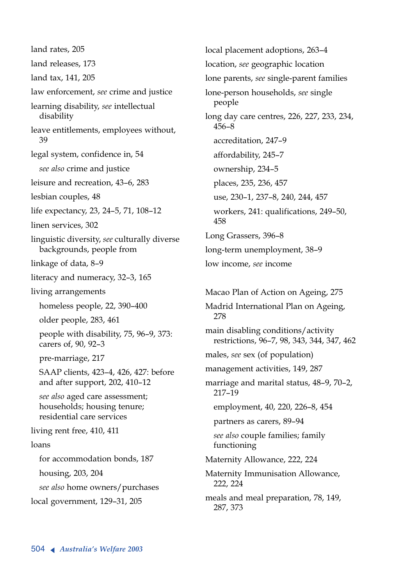land rates, 205 land releases, 173 land tax, 141, 205 law enforcement, *see* crime and justice learning disability, *see* intellectual disability leave entitlements, employees without, 39 legal system, confidence in, 54 *see also* crime and justice leisure and recreation, 43–6, 283 lesbian couples, 48 life expectancy, 23, 24–5, 71, 108–12 linen services, 302 linguistic diversity, *see* culturally diverse backgrounds, people from linkage of data, 8–9 literacy and numeracy, 32–3, 165 living arrangements homeless people, 22, 390–400 older people, 283, 461 people with disability, 75, 96–9, 373: carers of, 90, 92–3 pre-marriage, 217 SAAP clients, 423–4, 426, 427: before and after support, 202, 410–12 *see also* aged care assessment; households; housing tenure; residential care services living rent free, 410, 411 loans for accommodation bonds, 187 housing, 203, 204 *see also* home owners/purchases local government, 129–31, 205

local placement adoptions, 263–4 location, *see* geographic location lone parents, *see* single-parent families lone-person households, *see* single people long day care centres, 226, 227, 233, 234, 456–8 accreditation, 247–9 affordability, 245–7 ownership, 234–5 places, 235, 236, 457 use, 230–1, 237–8, 240, 244, 457 workers, 241: qualifications, 249–50, 458 Long Grassers, 396–8 long-term unemployment, 38–9 low income, *see* income Macao Plan of Action on Ageing, 275 Madrid International Plan on Ageing, 278 main disabling conditions/activity restrictions, 96–7, 98, 343, 344, 347, 462 males, *see* sex (of population) management activities, 149, 287 marriage and marital status, 48–9, 70–2, 217–19 employment, 40, 220, 226–8, 454 partners as carers, 89–94 *see also* couple families; family functioning

Maternity Allowance, 222, 224

Maternity Immunisation Allowance, 222, 224

meals and meal preparation, 78, 149, 287, 373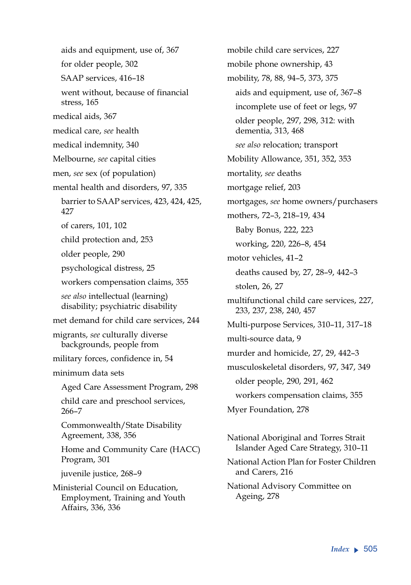aids and equipment, use of, 367 for older people, 302 SAAP services, 416–18 went without, because of financial stress, 165 medical aids, 367 medical care, *see* health medical indemnity, 340 Melbourne, *see* capital cities men, *see* sex (of population) mental health and disorders, 97, 335 barrier to SAAP services, 423, 424, 425, 427 of carers, 101, 102 child protection and, 253 older people, 290 psychological distress, 25 workers compensation claims, 355 *see also* intellectual (learning) disability; psychiatric disability met demand for child care services, 244 migrants, *see* culturally diverse backgrounds, people from military forces, confidence in, 54 minimum data sets Aged Care Assessment Program, 298 child care and preschool services, 266–7 Commonwealth/State Disability Agreement, 338, 356 Home and Community Care (HACC) Program, 301 juvenile justice, 268–9 Ministerial Council on Education, Employment, Training and Youth Affairs, 336, 336

mobile child care services, 227 mobile phone ownership, 43 mobility, 78, 88, 94–5, 373, 375 aids and equipment, use of, 367–8 incomplete use of feet or legs, 97 older people, 297, 298, 312: with dementia, 313, 468 *see also* relocation; transport Mobility Allowance, 351, 352, 353 mortality, *see* deaths mortgage relief, 203 mortgages, *see* home owners/purchasers mothers, 72–3, 218–19, 434 Baby Bonus, 222, 223 working, 220, 226–8, 454 motor vehicles, 41–2 deaths caused by, 27, 28–9, 442–3 stolen, 26, 27 multifunctional child care services, 227, 233, 237, 238, 240, 457 Multi-purpose Services, 310–11, 317–18 multi-source data, 9 murder and homicide, 27, 29, 442–3 musculoskeletal disorders, 97, 347, 349 older people, 290, 291, 462 workers compensation claims, 355 Myer Foundation, 278 National Aboriginal and Torres Strait

Islander Aged Care Strategy, 310–11

National Action Plan for Foster Children and Carers, 216

National Advisory Committee on Ageing, 278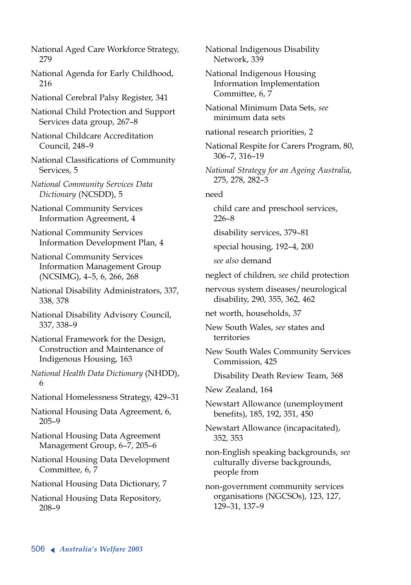National Aged Care Workforce Strategy, 279

National Agenda for Early Childhood, 216

National Cerebral Palsy Register, 341

National Child Protection and Support Services data group, 267–8

National Childcare Accreditation Council, 248–9

National Classifications of Community Services, 5

*National Community Services Data Dictionary* (NCSDD), 5

National Community Services Information Agreement, 4

National Community Services Information Development Plan, 4

National Community Services Information Management Group (NCSIMG), 4–5, 6, 266, 268

National Disability Administrators, 337, 338, 378

National Disability Advisory Council, 337, 338–9

National Framework for the Design, Construction and Maintenance of Indigenous Housing, 163

*National Health Data Dictionary* (NHDD), 6

National Homelessness Strategy, 429–31

National Housing Data Agreement, 6, 205–9

National Housing Data Agreement Management Group, 6–7, 205–6

National Housing Data Development Committee, 6, 7

National Housing Data Dictionary, 7

National Housing Data Repository, 208–9

National Indigenous Disability Network, 339

National Indigenous Housing Information Implementation Committee, 6, 7

National Minimum Data Sets, *see* minimum data sets

national research priorities, 2

National Respite for Carers Program, 80, 306–7, 316–19

*National Strategy for an Ageing Australia*, 275, 278, 282–3

## need

child care and preschool services, 226–8

disability services, 379–81

special housing, 192–4, 200

*see also* demand

neglect of children, *see* child protection

nervous system diseases/neurological disability, 290, 355, 362, 462

net worth, households, 37

New South Wales, *see* states and territories

New South Wales Community Services Commission, 425

Disability Death Review Team, 368

New Zealand, 164

Newstart Allowance (unemployment benefits), 185, 192, 351, 450

Newstart Allowance (incapacitated), 352, 353

non-English speaking backgrounds, *see* culturally diverse backgrounds, people from

non-government community services organisations (NGCSOs), 123, 127, 129–31, 137–9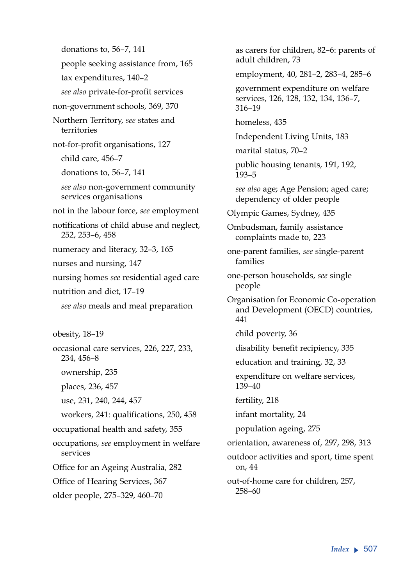donations to, 56–7, 141 people seeking assistance from, 165 tax expenditures, 140–2 *see also* private-for-profit services non-government schools, 369, 370 Northern Territory, *see* states and territories not-for-profit organisations, 127 child care, 456–7 donations to, 56–7, 141 *see also* non-government community services organisations not in the labour force, *see* employment notifications of child abuse and neglect, 252, 253–6, 458 numeracy and literacy, 32–3, 165 nurses and nursing, 147 nursing homes *see* residential aged care nutrition and diet, 17–19 *see also* meals and meal preparation obesity, 18–19 occasional care services, 226, 227, 233, 234, 456–8 ownership, 235 places, 236, 457 use, 231, 240, 244, 457 workers, 241: qualifications, 250, 458 occupational health and safety, 355 occupations, *see* employment in welfare services Office for an Ageing Australia, 282 Office of Hearing Services, 367 older people, 275–329, 460–70

as carers for children, 82–6: parents of adult children, 73 employment, 40, 281–2, 283–4, 285–6 government expenditure on welfare services, 126, 128, 132, 134, 136–7, 316–19 homeless, 435 Independent Living Units, 183 marital status, 70–2 public housing tenants, 191, 192, 193–5 *see also* age; Age Pension; aged care; dependency of older people Olympic Games, Sydney, 435 Ombudsman, family assistance complaints made to, 223 one-parent families, *see* single-parent families one-person households, *see* single people Organisation for Economic Co-operation and Development (OECD) countries, 441 child poverty, 36 disability benefit recipiency, 335 education and training, 32, 33 expenditure on welfare services, 139–40 fertility, 218 infant mortality, 24 population ageing, 275 orientation, awareness of, 297, 298, 313 outdoor activities and sport, time spent on, 44 out-of-home care for children, 257,

258–60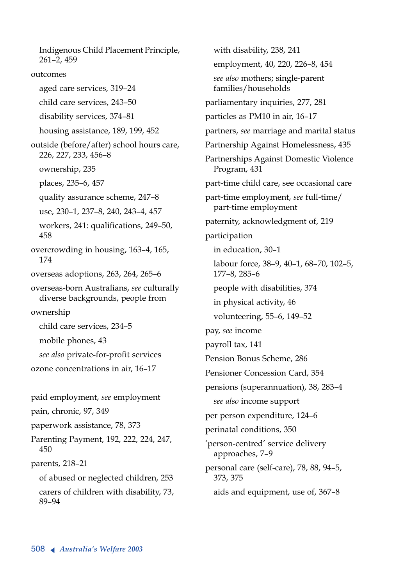Indigenous Child Placement Principle, 261–2, 459 outcomes aged care services, 319–24 child care services, 243–50 disability services, 374–81 housing assistance, 189, 199, 452 outside (before/after) school hours care, 226, 227, 233, 456–8 ownership, 235 places, 235–6, 457 quality assurance scheme, 247–8 use, 230–1, 237–8, 240, 243–4, 457 workers, 241: qualifications, 249–50, 458 overcrowding in housing, 163–4, 165, 174 overseas adoptions, 263, 264, 265–6 overseas-born Australians, *see* culturally diverse backgrounds, people from ownership child care services, 234–5 mobile phones, 43 *see also* private-for-profit services ozone concentrations in air, 16–17 paid employment, *see* employment pain, chronic, 97, 349 paperwork assistance, 78, 373 Parenting Payment, 192, 222, 224, 247, 450 parents, 218–21 of abused or neglected children, 253 carers of children with disability, 73, 89–94

with disability, 238, 241 employment, 40, 220, 226–8, 454 *see also* mothers; single-parent families/households parliamentary inquiries, 277, 281 particles as PM10 in air, 16–17 partners, *see* marriage and marital status Partnership Against Homelessness, 435 Partnerships Against Domestic Violence Program, 431 part-time child care, see occasional care part-time employment, *see* full-time/ part-time employment paternity, acknowledgment of, 219 participation in education, 30–1 labour force, 38–9, 40–1, 68–70, 102–5, 177–8, 285–6 people with disabilities, 374 in physical activity, 46 volunteering, 55–6, 149–52 pay, *see* income payroll tax, 141 Pension Bonus Scheme, 286 Pensioner Concession Card, 354 pensions (superannuation), 38, 283–4 *see also* income support per person expenditure, 124–6 perinatal conditions, 350 'person-centred' service delivery approaches, 7–9 personal care (self-care), 78, 88, 94–5, 373, 375 aids and equipment, use of, 367–8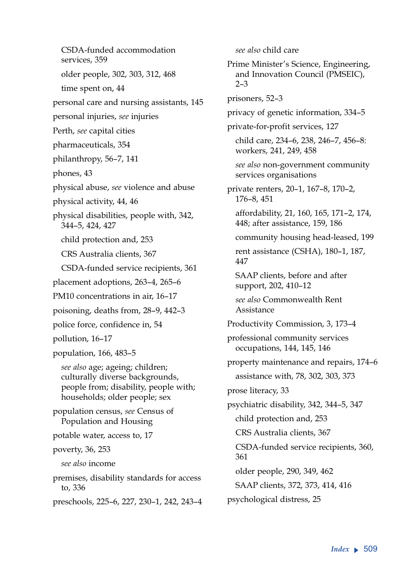CSDA-funded accommodation services, 359 older people, 302, 303, 312, 468 time spent on, 44 personal care and nursing assistants, 145 personal injuries, *see* injuries Perth, *see* capital cities pharmaceuticals, 354 philanthropy, 56–7, 141 phones, 43 physical abuse, *see* violence and abuse physical activity, 44, 46 physical disabilities, people with, 342, 344–5, 424, 427 child protection and, 253 CRS Australia clients, 367 CSDA-funded service recipients, 361 placement adoptions, 263–4, 265–6 PM10 concentrations in air, 16–17 poisoning, deaths from, 28–9, 442–3 police force, confidence in, 54 pollution, 16–17 population, 166, 483–5 *see also* age; ageing; children; culturally diverse backgrounds, people from; disability, people with; households; older people; sex population census, *see* Census of Population and Housing potable water, access to, 17 poverty, 36, 253 *see also* income premises, disability standards for access to, 336 preschools, 225–6, 227, 230–1, 242, 243–4

*see also* child care Prime Minister's Science, Engineering, and Innovation Council (PMSEIC), 2–3 prisoners, 52–3 privacy of genetic information, 334–5 private-for-profit services, 127 child care, 234–6, 238, 246–7, 456–8: workers, 241, 249, 458 *see also* non-government community services organisations private renters, 20–1, 167–8, 170–2, 176–8, 451 affordability, 21, 160, 165, 171–2, 174, 448; after assistance, 159, 186 community housing head-leased, 199 rent assistance (CSHA), 180–1, 187, 447 SAAP clients, before and after support, 202, 410–12 *see also* Commonwealth Rent Assistance Productivity Commission, 3, 173–4 professional community services occupations, 144, 145, 146 property maintenance and repairs, 174–6 assistance with, 78, 302, 303, 373 prose literacy, 33 psychiatric disability, 342, 344–5, 347 child protection and, 253 CRS Australia clients, 367 CSDA-funded service recipients, 360, 361 older people, 290, 349, 462 SAAP clients, 372, 373, 414, 416 psychological distress, 25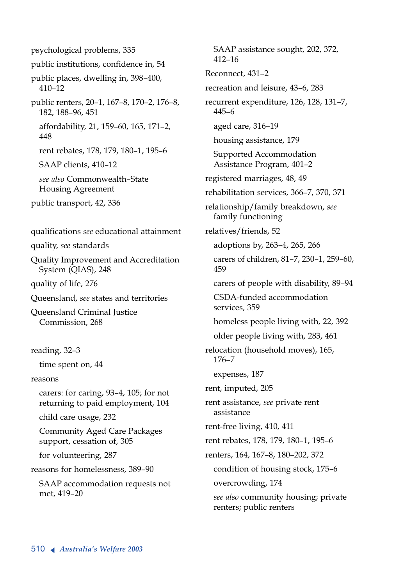psychological problems, 335 public institutions, confidence in, 54 public places, dwelling in, 398–400, 410–12 public renters, 20–1, 167–8, 170–2, 176–8, 182, 188–96, 451 affordability, 21, 159–60, 165, 171–2, 448 rent rebates, 178, 179, 180–1, 195–6 SAAP clients, 410–12 *see also* Commonwealth–State Housing Agreement public transport, 42, 336 qualifications *see* educational attainment quality, *see* standards Quality Improvement and Accreditation System (QIAS), 248 quality of life, 276 Queensland, *see* states and territories Queensland Criminal Justice Commission, 268 reading, 32–3 time spent on, 44 reasons carers: for caring, 93–4, 105; for not returning to paid employment, 104 child care usage, 232 Community Aged Care Packages support, cessation of, 305 for volunteering, 287 reasons for homelessness, 389–90 SAAP accommodation requests not met, 419–20

SAAP assistance sought, 202, 372, 412–16 Reconnect, 431–2 recreation and leisure, 43–6, 283 recurrent expenditure, 126, 128, 131–7, 445–6 aged care, 316–19 housing assistance, 179 Supported Accommodation Assistance Program, 401–2 registered marriages, 48, 49 rehabilitation services, 366–7, 370, 371 relationship/family breakdown, *see* family functioning relatives/friends, 52 adoptions by, 263–4, 265, 266 carers of children, 81–7, 230–1, 259–60, 459 carers of people with disability, 89–94 CSDA-funded accommodation services, 359 homeless people living with, 22, 392 older people living with, 283, 461 relocation (household moves), 165, 176–7 expenses, 187 rent, imputed, 205 rent assistance, *see* private rent assistance rent-free living, 410, 411 rent rebates, 178, 179, 180–1, 195–6 renters, 164, 167–8, 180–202, 372 condition of housing stock, 175–6 overcrowding, 174 *see also* community housing; private renters; public renters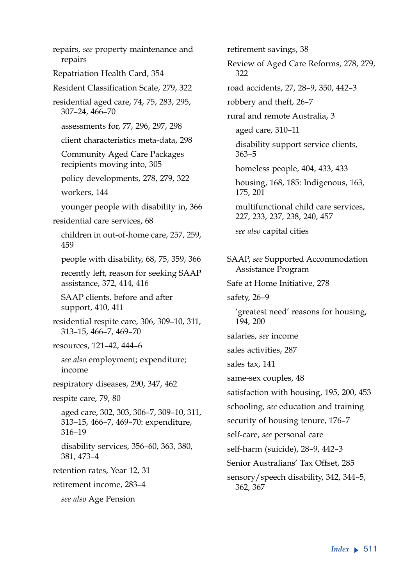repairs, *see* property maintenance and repairs Repatriation Health Card, 354 Resident Classification Scale, 279, 322 residential aged care, 74, 75, 283, 295, 307–24, 466–70 assessments for, 77, 296, 297, 298 client characteristics meta-data, 298 Community Aged Care Packages recipients moving into, 305 policy developments, 278, 279, 322 workers, 144 younger people with disability in, 366 residential care services, 68 children in out-of-home care, 257, 259, 459 people with disability, 68, 75, 359, 366 recently left, reason for seeking SAAP assistance, 372, 414, 416 SAAP clients, before and after support, 410, 411 residential respite care, 306, 309–10, 311, 313–15, 466–7, 469–70 resources, 121–42, 444–6 *see also* employment; expenditure; income respiratory diseases, 290, 347, 462 respite care, 79, 80 aged care, 302, 303, 306–7, 309–10, 311, 313–15, 466–7, 469–70: expenditure, 316–19 disability services, 356–60, 363, 380, 381, 473–4 retention rates, Year 12, 31 retirement income, 283–4 *see also* Age Pension

retirement savings, 38 Review of Aged Care Reforms, 278, 279, 322 road accidents, 27, 28–9, 350, 442–3 robbery and theft, 26–7 rural and remote Australia, 3 aged care, 310–11 disability support service clients, 363–5 homeless people, 404, 433, 433 housing, 168, 185: Indigenous, 163, 175, 201 multifunctional child care services, 227, 233, 237, 238, 240, 457 *see also* capital cities SAAP, *see* Supported Accommodation Assistance Program Safe at Home Initiative, 278 safety, 26–9 'greatest need' reasons for housing, 194, 200 salaries, *see* income sales activities, 287 sales tax, 141 same-sex couples, 48 satisfaction with housing, 195, 200, 453 schooling, *see* education and training security of housing tenure, 176–7 self-care, *see* personal care self-harm (suicide), 28–9, 442–3 Senior Australians' Tax Offset, 285 sensory/speech disability, 342, 344–5, 362, 367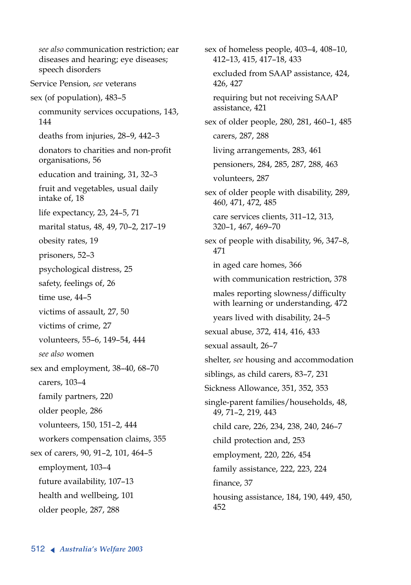*see also* communication restriction; ear diseases and hearing; eye diseases; speech disorders Service Pension, *see* veterans sex (of population), 483–5 community services occupations, 143, 144 deaths from injuries, 28–9, 442–3 donators to charities and non-profit organisations, 56 education and training, 31, 32–3 fruit and vegetables, usual daily intake of, 18 life expectancy, 23, 24–5, 71 marital status, 48, 49, 70–2, 217–19 obesity rates, 19 prisoners, 52–3 psychological distress, 25 safety, feelings of, 26 time use, 44–5 victims of assault, 27, 50 victims of crime, 27 volunteers, 55–6, 149–54, 444 *see also* women sex and employment, 38–40, 68–70 carers, 103–4 family partners, 220 older people, 286 volunteers, 150, 151–2, 444 workers compensation claims, 355 sex of carers, 90, 91–2, 101, 464–5 employment, 103–4 future availability, 107–13 health and wellbeing, 101 older people, 287, 288

sex of homeless people, 403–4, 408–10, 412–13, 415, 417–18, 433 excluded from SAAP assistance, 424, 426, 427 requiring but not receiving SAAP assistance, 421 sex of older people, 280, 281, 460–1, 485 carers, 287, 288 living arrangements, 283, 461 pensioners, 284, 285, 287, 288, 463 volunteers, 287 sex of older people with disability, 289, 460, 471, 472, 485 care services clients, 311–12, 313, 320–1, 467, 469–70 sex of people with disability, 96, 347–8, 471 in aged care homes, 366 with communication restriction, 378 males reporting slowness/difficulty with learning or understanding, 472 years lived with disability, 24–5 sexual abuse, 372, 414, 416, 433 sexual assault, 26–7 shelter, *see* housing and accommodation siblings, as child carers, 83–7, 231 Sickness Allowance, 351, 352, 353 single-parent families/households, 48, 49, 71–2, 219, 443 child care, 226, 234, 238, 240, 246–7 child protection and, 253 employment, 220, 226, 454 family assistance, 222, 223, 224 finance, 37 housing assistance, 184, 190, 449, 450, 452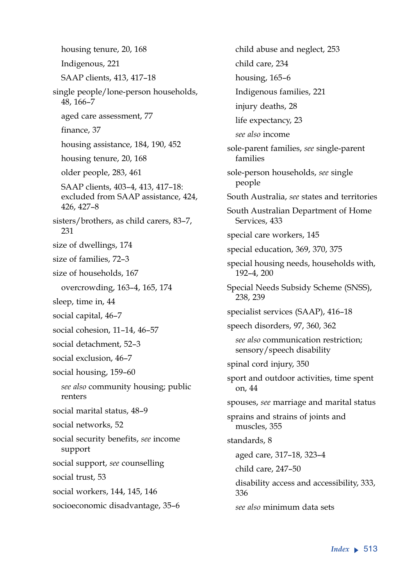housing tenure, 20, 168 Indigenous, 221 SAAP clients, 413, 417–18 single people/lone-person households, 48, 166–7 aged care assessment, 77 finance, 37 housing assistance, 184, 190, 452 housing tenure, 20, 168 older people, 283, 461 SAAP clients, 403–4, 413, 417–18: excluded from SAAP assistance, 424, 426, 427–8 sisters/brothers, as child carers, 83–7, 231 size of dwellings, 174 size of families, 72–3 size of households, 167 overcrowding, 163–4, 165, 174 sleep, time in, 44 social capital, 46–7 social cohesion, 11–14, 46–57 social detachment, 52–3 social exclusion, 46–7 social housing, 159–60 *see also* community housing; public renters social marital status, 48–9 social networks, 52 social security benefits, *see* income support social support, *see* counselling social trust, 53 social workers, 144, 145, 146 socioeconomic disadvantage, 35–6

child abuse and neglect, 253 child care, 234 housing, 165–6 Indigenous families, 221 injury deaths, 28 life expectancy, 23 *see also* income sole-parent families, *see* single-parent families sole-person households, *see* single people South Australia, *see* states and territories South Australian Department of Home Services, 433 special care workers, 145 special education, 369, 370, 375 special housing needs, households with, 192–4, 200 Special Needs Subsidy Scheme (SNSS), 238, 239 specialist services (SAAP), 416–18 speech disorders, 97, 360, 362 *see also* communication restriction; sensory/speech disability spinal cord injury, 350 sport and outdoor activities, time spent on, 44 spouses, *see* marriage and marital status sprains and strains of joints and muscles, 355 standards, 8 aged care, 317–18, 323–4 child care, 247–50 disability access and accessibility, 333, 336 *see also* minimum data sets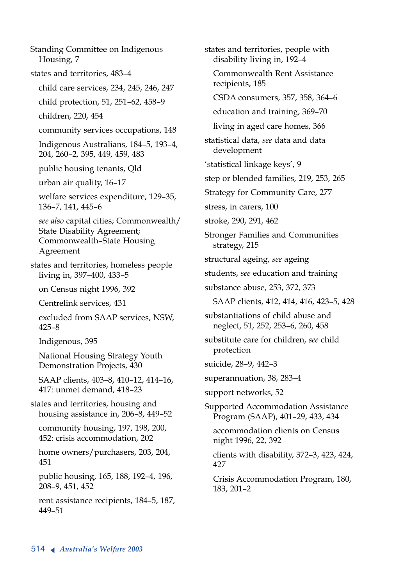Standing Committee on Indigenous Housing, 7 states and territories, 483–4 child care services, 234, 245, 246, 247 child protection, 51, 251–62, 458–9 children, 220, 454 community services occupations, 148 Indigenous Australians, 184–5, 193–4, 204, 260–2, 395, 449, 459, 483 public housing tenants, Qld urban air quality, 16–17 welfare services expenditure, 129–35, 136–7, 141, 445–6 *see also* capital cities; Commonwealth/ State Disability Agreement; Commonwealth–State Housing Agreement states and territories, homeless people living in, 397–400, 433–5 on Census night 1996, 392 Centrelink services, 431 excluded from SAAP services, NSW, 425–8 Indigenous, 395 National Housing Strategy Youth Demonstration Projects, 430 SAAP clients, 403–8, 410–12, 414–16, 417: unmet demand, 418–23 states and territories, housing and housing assistance in, 206–8, 449–52 community housing, 197, 198, 200, 452: crisis accommodation, 202 home owners/purchasers, 203, 204, 451 public housing, 165, 188, 192–4, 196, 208–9, 451, 452 rent assistance recipients, 184–5, 187, 449–51

states and territories, people with disability living in, 192–4 Commonwealth Rent Assistance recipients, 185 CSDA consumers, 357, 358, 364–6 education and training, 369–70 living in aged care homes, 366 statistical data, *see* data and data development 'statistical linkage keys', 9 step or blended families, 219, 253, 265 Strategy for Community Care, 277 stress, in carers, 100 stroke, 290, 291, 462 Stronger Families and Communities strategy, 215 structural ageing, *see* ageing students, *see* education and training substance abuse, 253, 372, 373 SAAP clients, 412, 414, 416, 423–5, 428 substantiations of child abuse and neglect, 51, 252, 253–6, 260, 458 substitute care for children, *see* child protection suicide, 28–9, 442–3 superannuation, 38, 283–4 support networks, 52 Supported Accommodation Assistance Program (SAAP), 401–29, 433, 434 accommodation clients on Census night 1996, 22, 392 clients with disability, 372–3, 423, 424, 427 Crisis Accommodation Program, 180, 183, 201–2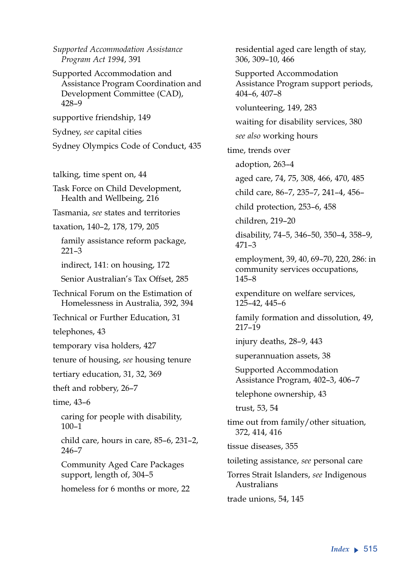*Supported Accommodation Assistance Program Act 1994*, 391

Supported Accommodation and Assistance Program Coordination and Development Committee (CAD), 428–9

supportive friendship, 149

Sydney, *see* capital cities

Sydney Olympics Code of Conduct, 435

talking, time spent on, 44

Task Force on Child Development, Health and Wellbeing, 216

Tasmania, *see* states and territories

taxation, 140–2, 178, 179, 205

family assistance reform package, 221–3

indirect, 141: on housing, 172

Senior Australian's Tax Offset, 285

Technical Forum on the Estimation of Homelessness in Australia, 392, 394

Technical or Further Education, 31

telephones, 43

temporary visa holders, 427

tenure of housing, *see* housing tenure

tertiary education, 31, 32, 369

theft and robbery, 26–7

time, 43–6

caring for people with disability, 100–1

child care, hours in care, 85–6, 231–2, 246–7

Community Aged Care Packages support, length of, 304–5

homeless for 6 months or more, 22

residential aged care length of stay, 306, 309–10, 466 Supported Accommodation Assistance Program support periods, 404–6, 407–8 volunteering, 149, 283 waiting for disability services, 380 *see also* working hours time, trends over adoption, 263–4 aged care, 74, 75, 308, 466, 470, 485 child care, 86–7, 235–7, 241–4, 456– child protection, 253–6, 458 children, 219–20 disability, 74–5, 346–50, 350–4, 358–9, 471–3 employment, 39, 40, 69–70, 220, 286: in community services occupations, 145–8 expenditure on welfare services, 125–42, 445–6 family formation and dissolution, 49, 217–19 injury deaths, 28–9, 443 superannuation assets, 38 Supported Accommodation Assistance Program, 402–3, 406–7 telephone ownership, 43 trust, 53, 54 time out from family/other situation, 372, 414, 416 tissue diseases, 355 toileting assistance, *see* personal care Torres Strait Islanders, *see* Indigenous Australians trade unions, 54, 145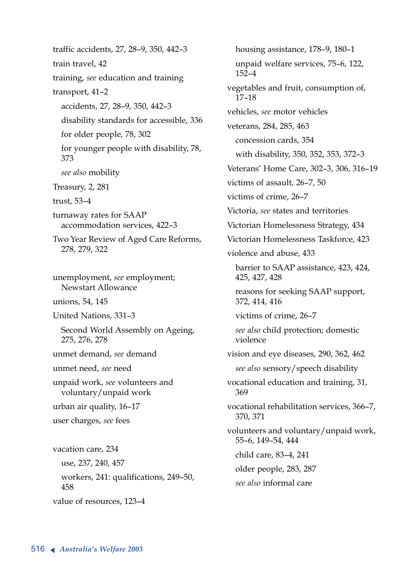traffic accidents, 27, 28–9, 350, 442–3 train travel, 42 training, *see* education and training transport, 41–2 accidents, 27, 28–9, 350, 442–3 disability standards for accessible, 336 for older people, 78, 302 for younger people with disability, 78, 373 *see also* mobility Treasury, 2, 281 trust, 53–4 turnaway rates for SAAP accommodation services, 422–3 Two Year Review of Aged Care Reforms, 278, 279, 322 unemployment, *see* employment; Newstart Allowance unions, 54, 145 United Nations, 331–3 Second World Assembly on Ageing, 275, 276, 278 unmet demand, *see* demand unmet need, *see* need unpaid work, *see* volunteers and voluntary/unpaid work urban air quality, 16–17 user charges, *see* fees vacation care, 234 use, 237, 240, 457 workers, 241: qualifications, 249–50, 458 value of resources, 123–4

housing assistance, 178–9, 180–1 unpaid welfare services, 75–6, 122, 152–4 vegetables and fruit, consumption of, 17–18 vehicles, *see* motor vehicles veterans, 284, 285, 463 concession cards, 354 with disability, 350, 352, 353, 372–3 Veterans' Home Care, 302–3, 306, 316–19 victims of assault, 26–7, 50 victims of crime, 26–7 Victoria, *see* states and territories Victorian Homelessness Strategy, 434 Victorian Homelessness Taskforce, 423 violence and abuse, 433 barrier to SAAP assistance, 423, 424, 425, 427, 428 reasons for seeking SAAP support, 372, 414, 416 victims of crime, 26–7 *see also* child protection; domestic violence vision and eye diseases, 290, 362, 462 *see also* sensory/speech disability vocational education and training, 31, 369 vocational rehabilitation services, 366–7, 370, 371 volunteers and voluntary/unpaid work, 55–6, 149–54, 444 child care, 83–4, 241 older people, 283, 287 *see also* informal care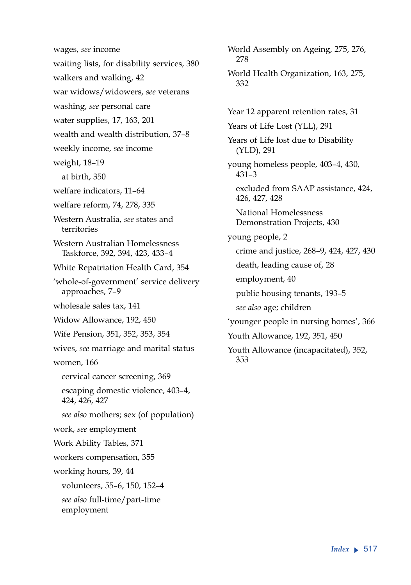wages, *see* income waiting lists, for disability services, 380 walkers and walking, 42 war widows/widowers, *see* veterans washing, *see* personal care water supplies, 17, 163, 201 wealth and wealth distribution, 37–8 weekly income, *see* income weight, 18–19 at birth, 350 welfare indicators, 11–64 welfare reform, 74, 278, 335 Western Australia, *see* states and territories Western Australian Homelessness Taskforce, 392, 394, 423, 433–4 White Repatriation Health Card, 354 'whole-of-government' service delivery approaches, 7–9 wholesale sales tax, 141 Widow Allowance, 192, 450 Wife Pension, 351, 352, 353, 354 wives, *see* marriage and marital status women, 166 cervical cancer screening, 369 escaping domestic violence, 403–4, 424, 426, 427 *see also* mothers; sex (of population) work, *see* employment Work Ability Tables, 371 workers compensation, 355 working hours, 39, 44 volunteers, 55–6, 150, 152–4 *see also* full-time/part-time employment

278 World Health Organization, 163, 275, 332 Year 12 apparent retention rates, 31 Years of Life Lost (YLL), 291 Years of Life lost due to Disability (YLD), 291 young homeless people, 403–4, 430, 431–3 excluded from SAAP assistance, 424, 426, 427, 428 National Homelessness Demonstration Projects, 430 young people, 2 crime and justice, 268–9, 424, 427, 430 death, leading cause of, 28 employment, 40 public housing tenants, 193–5 *see also* age; children 'younger people in nursing homes', 366 Youth Allowance, 192, 351, 450 Youth Allowance (incapacitated), 352, 353

World Assembly on Ageing, 275, 276,